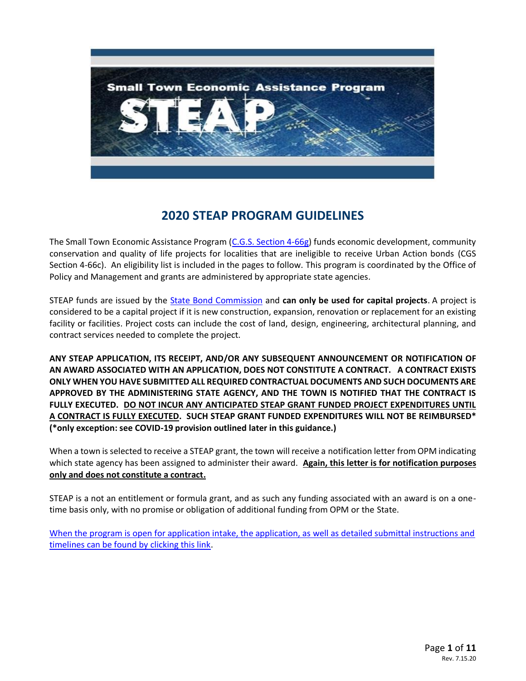

# **2020 STEAP PROGRAM GUIDELINES**

The Small Town Economic Assistance Program [\(C.G.S. Section 4-66g\)](https://www.cga.ct.gov/current/pub/chap_050.htm#sec_4-66g) funds economic development, community conservation and quality of life projects for localities that are ineligible to receive Urban Action bonds (CGS Section 4-66c). An eligibility list is included in the pages to follow. This program is coordinated by the Office of Policy and Management and grants are administered by appropriate state agencies.

STEAP funds are issued by the [State Bond Commission](http://www.ct.gov/opm/cwp/view.asp?a=3010&Q=382918&opmNav_GID=1793) and **can only be used for capital projects**. A project is considered to be a capital project if it is new construction, expansion, renovation or replacement for an existing facility or facilities. Project costs can include the cost of land, design, engineering, architectural planning, and contract services needed to complete the project.

**ANY STEAP APPLICATION, ITS RECEIPT, AND/OR ANY SUBSEQUENT ANNOUNCEMENT OR NOTIFICATION OF AN AWARD ASSOCIATED WITH AN APPLICATION, DOES NOT CONSTITUTE A CONTRACT. A CONTRACT EXISTS ONLY WHEN YOU HAVE SUBMITTED ALL REQUIRED CONTRACTUAL DOCUMENTS AND SUCH DOCUMENTS ARE APPROVED BY THE ADMINISTERING STATE AGENCY, AND THE TOWN IS NOTIFIED THAT THE CONTRACT IS FULLY EXECUTED. DO NOT INCUR ANY ANTICIPATED STEAP GRANT FUNDED PROJECT EXPENDITURES UNTIL A CONTRACT IS FULLY EXECUTED. SUCH STEAP GRANT FUNDED EXPENDITURES WILL NOT BE REIMBURSED\* (\*only exception: see COVID-19 provision outlined later in this guidance.)**

When a town is selected to receive a STEAP grant, the town will receive a notification letter from OPM indicating which state agency has been assigned to administer their award. **Again, this letter is for notification purposes only and does not constitute a contract.**

STEAP is a not an entitlement or formula grant, and as such any funding associated with an award is on a onetime basis only, with no promise or obligation of additional funding from OPM or the State.

[When the program is open for application intake, the application, as well as detailed submittal instructions and](https://biznet.ct.gov/SCP_Search/Default.aspx?AccLast=2)  [timelines can be found by clicking this link.](https://biznet.ct.gov/SCP_Search/Default.aspx?AccLast=2)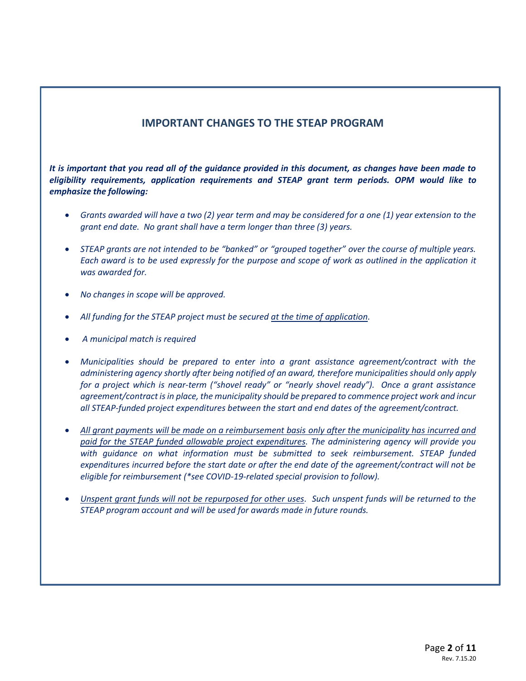## **IMPORTANT CHANGES TO THE STEAP PROGRAM**

*It is important that you read all of the guidance provided in this document, as changes have been made to eligibility requirements, application requirements and STEAP grant term periods. OPM would like to emphasize the following:*

- *Grants awarded will have a two (2) year term and may be considered for a one (1) year extension to the grant end date. No grant shall have a term longer than three (3) years.*
- *STEAP grants are not intended to be "banked" or "grouped together" over the course of multiple years. Each award is to be used expressly for the purpose and scope of work as outlined in the application it was awarded for.*
- *No changes in scope will be approved.*
- *All funding for the STEAP project must be secured at the time of application.*
- *A municipal match is required*
- *Municipalities should be prepared to enter into a grant assistance agreement/contract with the administering agency shortly after being notified of an award, therefore municipalities should only apply for a project which is near-term ("shovel ready" or "nearly shovel ready"). Once a grant assistance agreement/contract is in place, the municipality should be prepared to commence project work and incur all STEAP-funded project expenditures between the start and end dates of the agreement/contract.*
- *All grant payments will be made on a reimbursement basis only after the municipality has incurred and paid for the STEAP funded allowable project expenditures. The administering agency will provide you with guidance on what information must be submitted to seek reimbursement. STEAP funded expenditures incurred before the start date or after the end date of the agreement/contract will not be eligible for reimbursement (\*see COVID-19-related special provision to follow).*
- *Unspent grant funds will not be repurposed for other uses. Such unspent funds will be returned to the STEAP program account and will be used for awards made in future rounds.*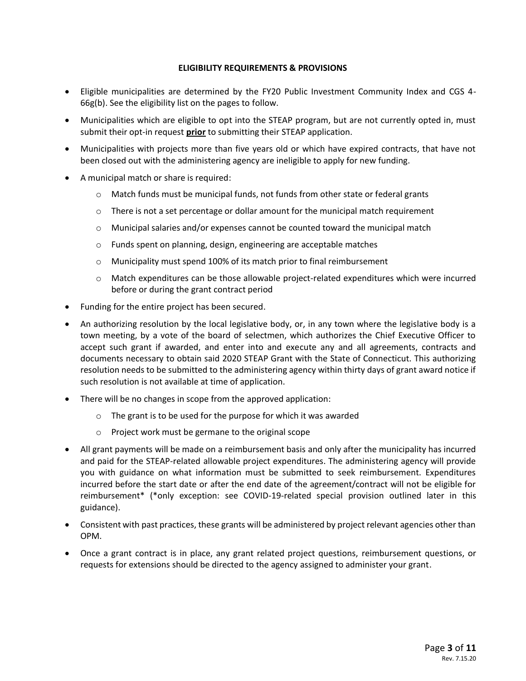#### **ELIGIBILITY REQUIREMENTS & PROVISIONS**

- Eligible municipalities are determined by the FY20 Public Investment Community Index and CGS 4- 66g(b). See the eligibility list on the pages to follow.
- Municipalities which are eligible to opt into the STEAP program, but are not currently opted in, must submit their opt-in request **prior** to submitting their STEAP application.
- Municipalities with projects more than five years old or which have expired contracts, that have not been closed out with the administering agency are ineligible to apply for new funding.
- A municipal match or share is required:
	- $\circ$  Match funds must be municipal funds, not funds from other state or federal grants
	- $\circ$  There is not a set percentage or dollar amount for the municipal match requirement
	- $\circ$  Municipal salaries and/or expenses cannot be counted toward the municipal match
	- o Funds spent on planning, design, engineering are acceptable matches
	- o Municipality must spend 100% of its match prior to final reimbursement
	- o Match expenditures can be those allowable project-related expenditures which were incurred before or during the grant contract period
- Funding for the entire project has been secured.
- An authorizing resolution by the local legislative body, or, in any town where the legislative body is a town meeting, by a vote of the board of selectmen, which authorizes the Chief Executive Officer to accept such grant if awarded, and enter into and execute any and all agreements, contracts and documents necessary to obtain said 2020 STEAP Grant with the State of Connecticut. This authorizing resolution needs to be submitted to the administering agency within thirty days of grant award notice if such resolution is not available at time of application.
- There will be no changes in scope from the approved application:
	- o The grant is to be used for the purpose for which it was awarded
	- o Project work must be germane to the original scope
- All grant payments will be made on a reimbursement basis and only after the municipality has incurred and paid for the STEAP-related allowable project expenditures. The administering agency will provide you with guidance on what information must be submitted to seek reimbursement. Expenditures incurred before the start date or after the end date of the agreement/contract will not be eligible for reimbursement\* (\*only exception: see COVID-19-related special provision outlined later in this guidance).
- Consistent with past practices, these grants will be administered by project relevant agencies other than OPM.
- Once a grant contract is in place, any grant related project questions, reimbursement questions, or requests for extensions should be directed to the agency assigned to administer your grant.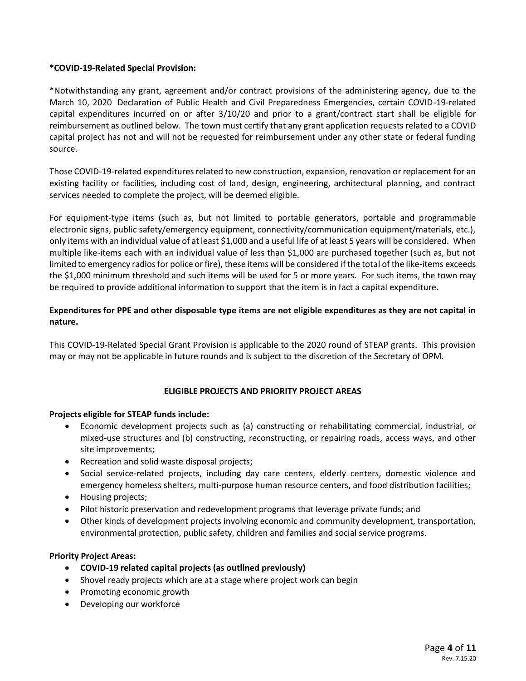#### **\*COVID-19-Related Special Provision:**

\*Notwithstanding any grant, agreement and/or contract provisions of the administering agency, due to the March 10, 2020 Declaration of Public Health and Civil Preparedness Emergencies, certain COVID-19-related capital expenditures incurred on or after 3/10/20 and prior to a grant/contract start shall be eligible for reimbursement as outlined below. The town must certify that any grant application requests related to a COVID capital project has not and will not be requested for reimbursement under any other state or federal funding source.

Those COVID-19-related expenditures related to new construction, expansion, renovation or replacement for an existing facility or facilities, including cost of land, design, engineering, architectural planning, and contract services needed to complete the project, will be deemed eligible.

For equipment-type items (such as, but not limited to portable generators, portable and programmable electronic signs, public safety/emergency equipment, connectivity/communication equipment/materials, etc.), only items with an individual value of at least \$1,000 and a useful life of at least 5 years will be considered. When multiple like-items each with an individual value of less than \$1,000 are purchased together (such as, but not limited to emergency radios for police or fire), these items will be considered if the total of the like-items exceeds the \$1,000 minimum threshold and such items will be used for 5 or more years. For such items, the town may be required to provide additional information to support that the item is in fact a capital expenditure.

## **Expenditures for PPE and other disposable type items are not eligible expenditures as they are not capital in nature.**

This COVID-19-Related Special Grant Provision is applicable to the 2020 round of STEAP grants. This provision may or may not be applicable in future rounds and is subject to the discretion of the Secretary of OPM.

## **ELIGIBLE PROJECTS AND PRIORITY PROJECT AREAS**

#### **Projects eligible for STEAP funds include:**

- Economic development projects such as (a) constructing or rehabilitating commercial, industrial, or mixed-use structures and (b) constructing, reconstructing, or repairing roads, access ways, and other site improvements;
- Recreation and solid waste disposal projects;
- Social service-related projects, including day care centers, elderly centers, domestic violence and emergency homeless shelters, multi-purpose human resource centers, and food distribution facilities;
- Housing projects;
- Pilot historic preservation and redevelopment programs that leverage private funds; and
- Other kinds of development projects involving economic and community development, transportation, environmental protection, public safety, children and families and social service programs.

#### **Priority Project Areas:**

- **COVID-19 related capital projects (as outlined previously)**
- Shovel ready projects which are at a stage where project work can begin
- Promoting economic growth
- Developing our workforce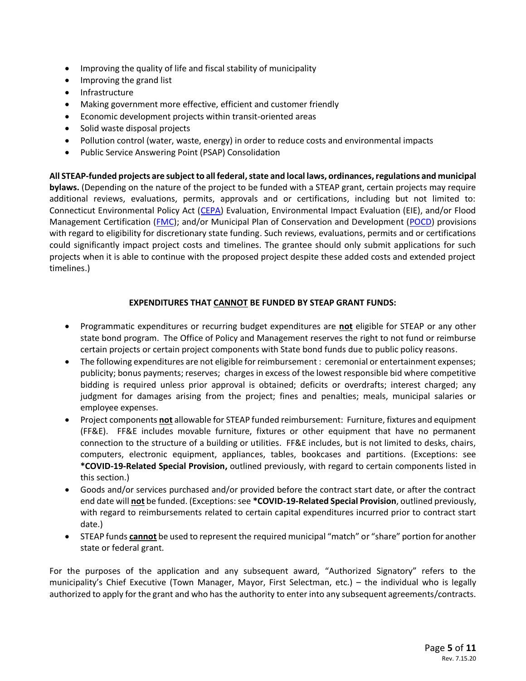- Improving the quality of life and fiscal stability of municipality
- Improving the grand list
- Infrastructure
- Making government more effective, efficient and customer friendly
- Economic development projects within transit-oriented areas
- Solid waste disposal projects
- Pollution control (water, waste, energy) in order to reduce costs and environmental impacts
- Public Service Answering Point (PSAP) Consolidation

**All STEAP-funded projects are subject to all federal, state and local laws, ordinances,regulations and municipal bylaws.** (Depending on the nature of the project to be funded with a STEAP grant, certain projects may require additional reviews, evaluations, permits, approvals and or certifications, including but not limited to: Connecticut Environmental Policy Act [\(CEPA\)](https://portal.ct.gov/OPM/IGPP-MAIN/Responsible-Growth/CEPA/Overview-of-Connecticut-Environmental-Policy-Act) Evaluation, Environmental Impact Evaluation (EIE), and/or Flood Management Certification [\(FMC\)](https://www.ct.gov/deep/cwp/view.asp?a=2709&q=324172); and/or Municipal Plan of Conservation and Development [\(POCD\)](https://portal.ct.gov/OPM/IGPP-MAIN/Responsible-Growth/Conservation-and-Development-Policies-Plan/Municipal-Plans-of-Conservation-and-Development) provisions with regard to eligibility for discretionary state funding. Such reviews, evaluations, permits and or certifications could significantly impact project costs and timelines. The grantee should only submit applications for such projects when it is able to continue with the proposed project despite these added costs and extended project timelines.)

## **EXPENDITURES THAT CANNOT BE FUNDED BY STEAP GRANT FUNDS:**

- Programmatic expenditures or recurring budget expenditures are **not** eligible for STEAP or any other state bond program. The Office of Policy and Management reserves the right to not fund or reimburse certain projects or certain project components with State bond funds due to public policy reasons.
- The following expenditures are not eligible for reimbursement : ceremonial or entertainment expenses; publicity; bonus payments; reserves; charges in excess of the lowest responsible bid where competitive bidding is required unless prior approval is obtained; deficits or overdrafts; interest charged; any judgment for damages arising from the project; fines and penalties; meals, municipal salaries or employee expenses.
- Project components **not** allowable for STEAP funded reimbursement: Furniture, fixtures and equipment (FF&E). FF&E includes movable furniture, fixtures or other equipment that have no permanent connection to the structure of a building or utilities. FF&E includes, but is not limited to desks, chairs, computers, electronic equipment, appliances, tables, bookcases and partitions. (Exceptions: see **\*COVID-19-Related Special Provision,** outlined previously, with regard to certain components listed in this section.)
- Goods and/or services purchased and/or provided before the contract start date, or after the contract end date will **not** be funded. (Exceptions: see **\*COVID-19-Related Special Provision**, outlined previously, with regard to reimbursements related to certain capital expenditures incurred prior to contract start date.)
- STEAP funds **cannot** be used to represent the required municipal "match" or "share" portion for another state or federal grant.

For the purposes of the application and any subsequent award, "Authorized Signatory" refers to the municipality's Chief Executive (Town Manager, Mayor, First Selectman, etc.) – the individual who is legally authorized to apply for the grant and who has the authority to enter into any subsequent agreements/contracts.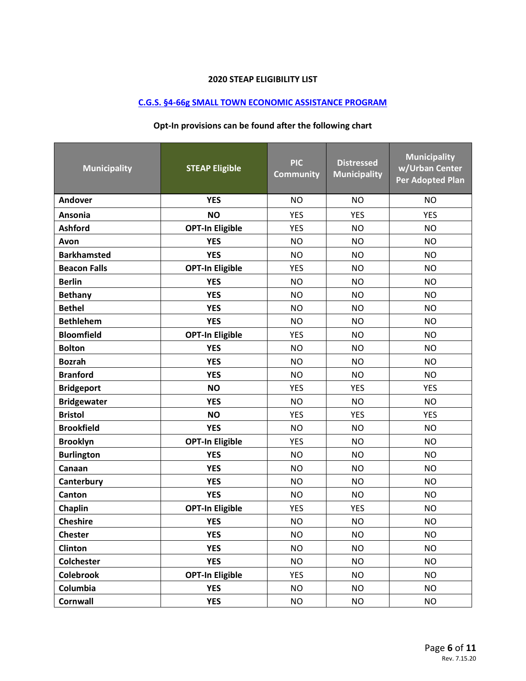#### **2020 STEAP ELIGIBILITY LIST**

## **[C.G.S. §4-66g SMALL TOWN ECONOMIC ASSISTANCE PROGRAM](https://www.cga.ct.gov/current/pub/chap_050.htm#sec_4-66g)**

## **Opt-In provisions can be found after the following chart**

| <b>Municipality</b> | <b>STEAP Eligible</b>  | <b>PIC</b><br><b>Community</b> | <b>Distressed</b><br><b>Municipality</b> | <b>Municipality</b><br>w/Urban Center<br>Per Adopted Plan |
|---------------------|------------------------|--------------------------------|------------------------------------------|-----------------------------------------------------------|
| Andover             | <b>YES</b>             | <b>NO</b>                      | <b>NO</b>                                | <b>NO</b>                                                 |
| Ansonia             | <b>NO</b>              | <b>YES</b>                     | <b>YES</b>                               | <b>YES</b>                                                |
| <b>Ashford</b>      | <b>OPT-In Eligible</b> | <b>YES</b>                     | <b>NO</b>                                | <b>NO</b>                                                 |
| Avon                | <b>YES</b>             | <b>NO</b>                      | <b>NO</b>                                | <b>NO</b>                                                 |
| <b>Barkhamsted</b>  | <b>YES</b>             | <b>NO</b>                      | <b>NO</b>                                | <b>NO</b>                                                 |
| <b>Beacon Falls</b> | <b>OPT-In Eligible</b> | <b>YES</b>                     | <b>NO</b>                                | <b>NO</b>                                                 |
| <b>Berlin</b>       | <b>YES</b>             | <b>NO</b>                      | <b>NO</b>                                | <b>NO</b>                                                 |
| <b>Bethany</b>      | <b>YES</b>             | <b>NO</b>                      | <b>NO</b>                                | <b>NO</b>                                                 |
| <b>Bethel</b>       | <b>YES</b>             | <b>NO</b>                      | <b>NO</b>                                | <b>NO</b>                                                 |
| <b>Bethlehem</b>    | <b>YES</b>             | <b>NO</b>                      | <b>NO</b>                                | <b>NO</b>                                                 |
| <b>Bloomfield</b>   | <b>OPT-In Eligible</b> | <b>YES</b>                     | <b>NO</b>                                | <b>NO</b>                                                 |
| <b>Bolton</b>       | <b>YES</b>             | <b>NO</b>                      | <b>NO</b>                                | <b>NO</b>                                                 |
| <b>Bozrah</b>       | <b>YES</b>             | <b>NO</b>                      | <b>NO</b>                                | <b>NO</b>                                                 |
| <b>Branford</b>     | <b>YES</b>             | <b>NO</b>                      | <b>NO</b>                                | <b>NO</b>                                                 |
| <b>Bridgeport</b>   | <b>NO</b>              | <b>YES</b>                     | <b>YES</b>                               | <b>YES</b>                                                |
| <b>Bridgewater</b>  | <b>YES</b>             | <b>NO</b>                      | <b>NO</b>                                | <b>NO</b>                                                 |
| <b>Bristol</b>      | <b>NO</b>              | <b>YES</b>                     | <b>YES</b>                               | <b>YES</b>                                                |
| <b>Brookfield</b>   | <b>YES</b>             | <b>NO</b>                      | <b>NO</b>                                | <b>NO</b>                                                 |
| <b>Brooklyn</b>     | <b>OPT-In Eligible</b> | <b>YES</b>                     | <b>NO</b>                                | <b>NO</b>                                                 |
| <b>Burlington</b>   | <b>YES</b>             | <b>NO</b>                      | <b>NO</b>                                | <b>NO</b>                                                 |
| Canaan              | <b>YES</b>             | <b>NO</b>                      | <b>NO</b>                                | <b>NO</b>                                                 |
| Canterbury          | <b>YES</b>             | <b>NO</b>                      | <b>NO</b>                                | <b>NO</b>                                                 |
| Canton              | <b>YES</b>             | <b>NO</b>                      | <b>NO</b>                                | <b>NO</b>                                                 |
| Chaplin             | <b>OPT-In Eligible</b> | <b>YES</b>                     | <b>YES</b>                               | <b>NO</b>                                                 |
| <b>Cheshire</b>     | <b>YES</b>             | <b>NO</b>                      | <b>NO</b>                                | <b>NO</b>                                                 |
| <b>Chester</b>      | <b>YES</b>             | <b>NO</b>                      | <b>NO</b>                                | <b>NO</b>                                                 |
| Clinton             | <b>YES</b>             | <b>NO</b>                      | <b>NO</b>                                | <b>NO</b>                                                 |
| <b>Colchester</b>   | <b>YES</b>             | <b>NO</b>                      | <b>NO</b>                                | <b>NO</b>                                                 |
| <b>Colebrook</b>    | <b>OPT-In Eligible</b> | <b>YES</b>                     | NO.                                      | <b>NO</b>                                                 |
| Columbia            | <b>YES</b>             | <b>NO</b>                      | <b>NO</b>                                | <b>NO</b>                                                 |
| <b>Cornwall</b>     | <b>YES</b>             | <b>NO</b>                      | NO.                                      | <b>NO</b>                                                 |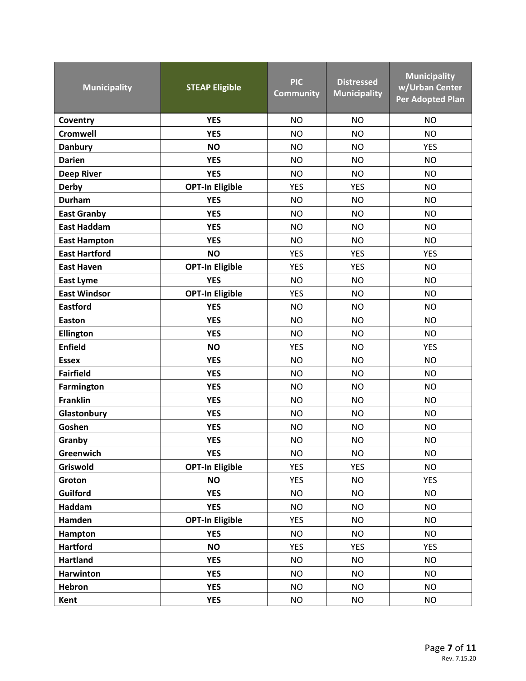| <b>Municipality</b>  | <b>STEAP Eligible</b>  | <b>PIC</b><br><b>Community</b> | <b>Distressed</b><br><b>Municipality</b> | <b>Municipality</b><br>w/Urban Center<br><b>Per Adopted Plan</b> |
|----------------------|------------------------|--------------------------------|------------------------------------------|------------------------------------------------------------------|
| Coventry             | <b>YES</b>             | <b>NO</b>                      | <b>NO</b>                                | <b>NO</b>                                                        |
| <b>Cromwell</b>      | <b>YES</b>             | <b>NO</b>                      | <b>NO</b>                                | <b>NO</b>                                                        |
| <b>Danbury</b>       | <b>NO</b>              | <b>NO</b>                      | <b>NO</b>                                | <b>YES</b>                                                       |
| <b>Darien</b>        | <b>YES</b>             | <b>NO</b>                      | <b>NO</b>                                | <b>NO</b>                                                        |
| <b>Deep River</b>    | <b>YES</b>             | <b>NO</b>                      | <b>NO</b>                                | <b>NO</b>                                                        |
| <b>Derby</b>         | <b>OPT-In Eligible</b> | <b>YES</b>                     | <b>YES</b>                               | <b>NO</b>                                                        |
| Durham               | <b>YES</b>             | <b>NO</b>                      | <b>NO</b>                                | <b>NO</b>                                                        |
| <b>East Granby</b>   | <b>YES</b>             | <b>NO</b>                      | <b>NO</b>                                | <b>NO</b>                                                        |
| <b>East Haddam</b>   | <b>YES</b>             | <b>NO</b>                      | <b>NO</b>                                | <b>NO</b>                                                        |
| <b>East Hampton</b>  | <b>YES</b>             | <b>NO</b>                      | <b>NO</b>                                | <b>NO</b>                                                        |
| <b>East Hartford</b> | <b>NO</b>              | <b>YES</b>                     | <b>YES</b>                               | <b>YES</b>                                                       |
| <b>East Haven</b>    | <b>OPT-In Eligible</b> | <b>YES</b>                     | <b>YES</b>                               | <b>NO</b>                                                        |
| <b>East Lyme</b>     | <b>YES</b>             | <b>NO</b>                      | <b>NO</b>                                | <b>NO</b>                                                        |
| <b>East Windsor</b>  | <b>OPT-In Eligible</b> | <b>YES</b>                     | <b>NO</b>                                | <b>NO</b>                                                        |
| <b>Eastford</b>      | <b>YES</b>             | <b>NO</b>                      | <b>NO</b>                                | <b>NO</b>                                                        |
| Easton               | <b>YES</b>             | <b>NO</b>                      | <b>NO</b>                                | <b>NO</b>                                                        |
| Ellington            | <b>YES</b>             | <b>NO</b>                      | <b>NO</b>                                | <b>NO</b>                                                        |
| <b>Enfield</b>       | <b>NO</b>              | <b>YES</b>                     | <b>NO</b>                                | <b>YES</b>                                                       |
| <b>Essex</b>         | <b>YES</b>             | <b>NO</b>                      | <b>NO</b>                                | <b>NO</b>                                                        |
| <b>Fairfield</b>     | <b>YES</b>             | <b>NO</b>                      | <b>NO</b>                                | <b>NO</b>                                                        |
| <b>Farmington</b>    | <b>YES</b>             | <b>NO</b>                      | <b>NO</b>                                | <b>NO</b>                                                        |
| <b>Franklin</b>      | <b>YES</b>             | <b>NO</b>                      | <b>NO</b>                                | <b>NO</b>                                                        |
| Glastonbury          | <b>YES</b>             | <b>NO</b>                      | <b>NO</b>                                | <b>NO</b>                                                        |
| Goshen               | <b>YES</b>             | <b>NO</b>                      | <b>NO</b>                                | <b>NO</b>                                                        |
| Granby               | <b>YES</b>             | <b>NO</b>                      | <b>NO</b>                                | <b>NO</b>                                                        |
| Greenwich            | <b>YES</b>             | <b>NO</b>                      | <b>NO</b>                                | <b>NO</b>                                                        |
| Griswold             | <b>OPT-In Eligible</b> | <b>YES</b>                     | <b>YES</b>                               | <b>NO</b>                                                        |
| Groton               | <b>NO</b>              | <b>YES</b>                     | <b>NO</b>                                | <b>YES</b>                                                       |
| <b>Guilford</b>      | <b>YES</b>             | <b>NO</b>                      | <b>NO</b>                                | <b>NO</b>                                                        |
| Haddam               | <b>YES</b>             | <b>NO</b>                      | <b>NO</b>                                | <b>NO</b>                                                        |
| Hamden               | <b>OPT-In Eligible</b> | <b>YES</b>                     | <b>NO</b>                                | <b>NO</b>                                                        |
| Hampton              | <b>YES</b>             | <b>NO</b>                      | <b>NO</b>                                | <b>NO</b>                                                        |
| <b>Hartford</b>      | <b>NO</b>              | <b>YES</b>                     | <b>YES</b>                               | <b>YES</b>                                                       |
| <b>Hartland</b>      | <b>YES</b>             | <b>NO</b>                      | <b>NO</b>                                | <b>NO</b>                                                        |
| <b>Harwinton</b>     | <b>YES</b>             | <b>NO</b>                      | <b>NO</b>                                | <b>NO</b>                                                        |
| Hebron               | <b>YES</b>             | <b>NO</b>                      | <b>NO</b>                                | <b>NO</b>                                                        |
| Kent                 | <b>YES</b>             | <b>NO</b>                      | <b>NO</b>                                | <b>NO</b>                                                        |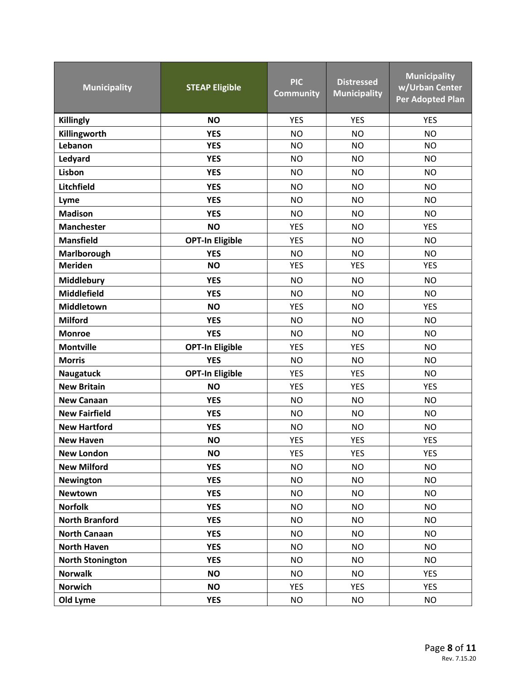| <b>Municipality</b>     | <b>STEAP Eligible</b>  | <b>PIC</b><br><b>Community</b> | <b>Distressed</b><br><b>Municipality</b> | <b>Municipality</b><br>w/Urban Center<br><b>Per Adopted Plan</b> |
|-------------------------|------------------------|--------------------------------|------------------------------------------|------------------------------------------------------------------|
| <b>Killingly</b>        | <b>NO</b>              | <b>YES</b>                     | <b>YES</b>                               | <b>YES</b>                                                       |
| Killingworth            | <b>YES</b>             | <b>NO</b>                      | <b>NO</b>                                | <b>NO</b>                                                        |
| Lebanon                 | <b>YES</b>             | <b>NO</b>                      | <b>NO</b>                                | <b>NO</b>                                                        |
| Ledyard                 | <b>YES</b>             | <b>NO</b>                      | <b>NO</b>                                | <b>NO</b>                                                        |
| Lisbon                  | <b>YES</b>             | <b>NO</b>                      | <b>NO</b>                                | <b>NO</b>                                                        |
| Litchfield              | <b>YES</b>             | <b>NO</b>                      | <b>NO</b>                                | <b>NO</b>                                                        |
| Lyme                    | <b>YES</b>             | <b>NO</b>                      | <b>NO</b>                                | <b>NO</b>                                                        |
| <b>Madison</b>          | <b>YES</b>             | <b>NO</b>                      | <b>NO</b>                                | <b>NO</b>                                                        |
| <b>Manchester</b>       | <b>NO</b>              | <b>YES</b>                     | <b>NO</b>                                | <b>YES</b>                                                       |
| <b>Mansfield</b>        | <b>OPT-In Eligible</b> | <b>YES</b>                     | <b>NO</b>                                | <b>NO</b>                                                        |
| Marlborough             | <b>YES</b>             | <b>NO</b>                      | <b>NO</b>                                | <b>NO</b>                                                        |
| <b>Meriden</b>          | <b>NO</b>              | <b>YES</b>                     | <b>YES</b>                               | <b>YES</b>                                                       |
| Middlebury              | <b>YES</b>             | <b>NO</b>                      | <b>NO</b>                                | <b>NO</b>                                                        |
| <b>Middlefield</b>      | <b>YES</b>             | <b>NO</b>                      | <b>NO</b>                                | <b>NO</b>                                                        |
| <b>Middletown</b>       | <b>NO</b>              | <b>YES</b>                     | <b>NO</b>                                | <b>YES</b>                                                       |
| <b>Milford</b>          | <b>YES</b>             | <b>NO</b>                      | <b>NO</b>                                | <b>NO</b>                                                        |
| <b>Monroe</b>           | <b>YES</b>             | <b>NO</b>                      | <b>NO</b>                                | <b>NO</b>                                                        |
| <b>Montville</b>        | <b>OPT-In Eligible</b> | <b>YES</b>                     | <b>YES</b>                               | <b>NO</b>                                                        |
| <b>Morris</b>           | <b>YES</b>             | <b>NO</b>                      | <b>NO</b>                                | <b>NO</b>                                                        |
| <b>Naugatuck</b>        | <b>OPT-In Eligible</b> | <b>YES</b>                     | <b>YES</b>                               | <b>NO</b>                                                        |
| <b>New Britain</b>      | <b>NO</b>              | <b>YES</b>                     | <b>YES</b>                               | <b>YES</b>                                                       |
| <b>New Canaan</b>       | <b>YES</b>             | <b>NO</b>                      | <b>NO</b>                                | <b>NO</b>                                                        |
| <b>New Fairfield</b>    | <b>YES</b>             | <b>NO</b>                      | <b>NO</b>                                | <b>NO</b>                                                        |
| <b>New Hartford</b>     | <b>YES</b>             | <b>NO</b>                      | <b>NO</b>                                | <b>NO</b>                                                        |
| <b>New Haven</b>        | <b>NO</b>              | <b>YES</b>                     | <b>YES</b>                               | <b>YES</b>                                                       |
| <b>New London</b>       | <b>NO</b>              | <b>YES</b>                     | <b>YES</b>                               | <b>YES</b>                                                       |
| <b>New Milford</b>      | <b>YES</b>             | <b>NO</b>                      | <b>NO</b>                                | <b>NO</b>                                                        |
| <b>Newington</b>        | <b>YES</b>             | <b>NO</b>                      | <b>NO</b>                                | <b>NO</b>                                                        |
| <b>Newtown</b>          | <b>YES</b>             | <b>NO</b>                      | <b>NO</b>                                | <b>NO</b>                                                        |
| <b>Norfolk</b>          | <b>YES</b>             | <b>NO</b>                      | <b>NO</b>                                | <b>NO</b>                                                        |
| <b>North Branford</b>   | <b>YES</b>             | <b>NO</b>                      | <b>NO</b>                                | <b>NO</b>                                                        |
| <b>North Canaan</b>     | <b>YES</b>             | <b>NO</b>                      | <b>NO</b>                                | <b>NO</b>                                                        |
| <b>North Haven</b>      | <b>YES</b>             | <b>NO</b>                      | <b>NO</b>                                | <b>NO</b>                                                        |
| <b>North Stonington</b> | <b>YES</b>             | <b>NO</b>                      | <b>NO</b>                                | <b>NO</b>                                                        |
| <b>Norwalk</b>          | <b>NO</b>              | <b>NO</b>                      | <b>NO</b>                                | <b>YES</b>                                                       |
| Norwich                 | <b>NO</b>              | <b>YES</b>                     | <b>YES</b>                               | <b>YES</b>                                                       |
| Old Lyme                | <b>YES</b>             | <b>NO</b>                      | NO.                                      | NO.                                                              |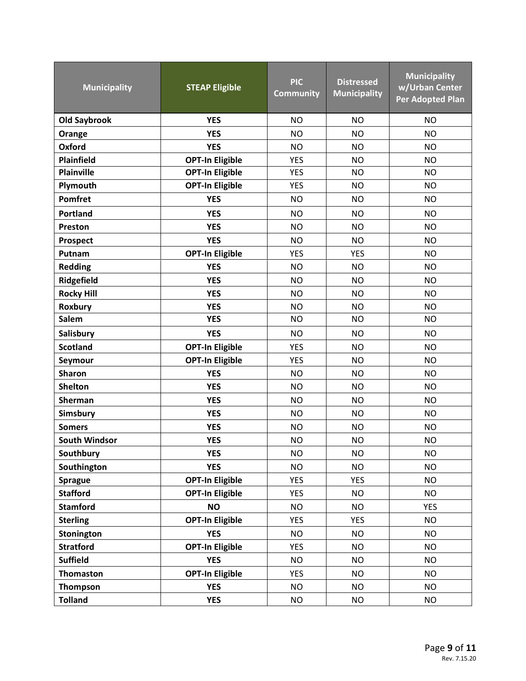| <b>Municipality</b>  | <b>STEAP Eligible</b>  | <b>PIC</b><br><b>Community</b> | <b>Distressed</b><br><b>Municipality</b> | <b>Municipality</b><br>w/Urban Center<br><b>Per Adopted Plan</b> |
|----------------------|------------------------|--------------------------------|------------------------------------------|------------------------------------------------------------------|
| <b>Old Saybrook</b>  | <b>YES</b>             | <b>NO</b>                      | <b>NO</b>                                | <b>NO</b>                                                        |
| Orange               | <b>YES</b>             | <b>NO</b>                      | <b>NO</b>                                | <b>NO</b>                                                        |
| Oxford               | <b>YES</b>             | <b>NO</b>                      | <b>NO</b>                                | <b>NO</b>                                                        |
| <b>Plainfield</b>    | <b>OPT-In Eligible</b> | <b>YES</b>                     | <b>NO</b>                                | <b>NO</b>                                                        |
| <b>Plainville</b>    | <b>OPT-In Eligible</b> | <b>YES</b>                     | <b>NO</b>                                | <b>NO</b>                                                        |
| Plymouth             | <b>OPT-In Eligible</b> | <b>YES</b>                     | <b>NO</b>                                | <b>NO</b>                                                        |
| Pomfret              | <b>YES</b>             | <b>NO</b>                      | <b>NO</b>                                | <b>NO</b>                                                        |
| <b>Portland</b>      | <b>YES</b>             | <b>NO</b>                      | <b>NO</b>                                | <b>NO</b>                                                        |
| Preston              | <b>YES</b>             | <b>NO</b>                      | <b>NO</b>                                | <b>NO</b>                                                        |
| <b>Prospect</b>      | <b>YES</b>             | <b>NO</b>                      | <b>NO</b>                                | <b>NO</b>                                                        |
| Putnam               | <b>OPT-In Eligible</b> | <b>YES</b>                     | <b>YES</b>                               | <b>NO</b>                                                        |
| <b>Redding</b>       | <b>YES</b>             | <b>NO</b>                      | <b>NO</b>                                | <b>NO</b>                                                        |
| Ridgefield           | <b>YES</b>             | <b>NO</b>                      | <b>NO</b>                                | <b>NO</b>                                                        |
| <b>Rocky Hill</b>    | <b>YES</b>             | <b>NO</b>                      | <b>NO</b>                                | <b>NO</b>                                                        |
| <b>Roxbury</b>       | <b>YES</b>             | <b>NO</b>                      | <b>NO</b>                                | <b>NO</b>                                                        |
| Salem                | <b>YES</b>             | <b>NO</b>                      | <b>NO</b>                                | NO.                                                              |
| Salisbury            | <b>YES</b>             | <b>NO</b>                      | <b>NO</b>                                | <b>NO</b>                                                        |
| <b>Scotland</b>      | <b>OPT-In Eligible</b> | <b>YES</b>                     | <b>NO</b>                                | <b>NO</b>                                                        |
| Seymour              | <b>OPT-In Eligible</b> | <b>YES</b>                     | <b>NO</b>                                | <b>NO</b>                                                        |
| <b>Sharon</b>        | <b>YES</b>             | <b>NO</b>                      | <b>NO</b>                                | <b>NO</b>                                                        |
| <b>Shelton</b>       | <b>YES</b>             | <b>NO</b>                      | <b>NO</b>                                | <b>NO</b>                                                        |
| Sherman              | <b>YES</b>             | <b>NO</b>                      | <b>NO</b>                                | <b>NO</b>                                                        |
| Simsbury             | <b>YES</b>             | <b>NO</b>                      | <b>NO</b>                                | <b>NO</b>                                                        |
| <b>Somers</b>        | <b>YES</b>             | <b>NO</b>                      | <b>NO</b>                                | <b>NO</b>                                                        |
| <b>South Windsor</b> | <b>YES</b>             | <b>NO</b>                      | <b>NO</b>                                | <b>NO</b>                                                        |
| Southbury            | <b>YES</b>             | <b>NO</b>                      | <b>NO</b>                                | <b>NO</b>                                                        |
| Southington          | <b>YES</b>             | <b>NO</b>                      | <b>NO</b>                                | <b>NO</b>                                                        |
| <b>Sprague</b>       | <b>OPT-In Eligible</b> | <b>YES</b>                     | <b>YES</b>                               | <b>NO</b>                                                        |
| <b>Stafford</b>      | <b>OPT-In Eligible</b> | <b>YES</b>                     | <b>NO</b>                                | <b>NO</b>                                                        |
| <b>Stamford</b>      | <b>NO</b>              | <b>NO</b>                      | <b>NO</b>                                | <b>YES</b>                                                       |
| <b>Sterling</b>      | <b>OPT-In Eligible</b> | <b>YES</b>                     | <b>YES</b>                               | <b>NO</b>                                                        |
| Stonington           | <b>YES</b>             | <b>NO</b>                      | <b>NO</b>                                | <b>NO</b>                                                        |
| <b>Stratford</b>     | <b>OPT-In Eligible</b> | <b>YES</b>                     | <b>NO</b>                                | <b>NO</b>                                                        |
| <b>Suffield</b>      | <b>YES</b>             | <b>NO</b>                      | <b>NO</b>                                | <b>NO</b>                                                        |
| <b>Thomaston</b>     | <b>OPT-In Eligible</b> | <b>YES</b>                     | <b>NO</b>                                | <b>NO</b>                                                        |
| Thompson             | <b>YES</b>             | <b>NO</b>                      | <b>NO</b>                                | <b>NO</b>                                                        |
| <b>Tolland</b>       | <b>YES</b>             | <b>NO</b>                      | NO.                                      | NO.                                                              |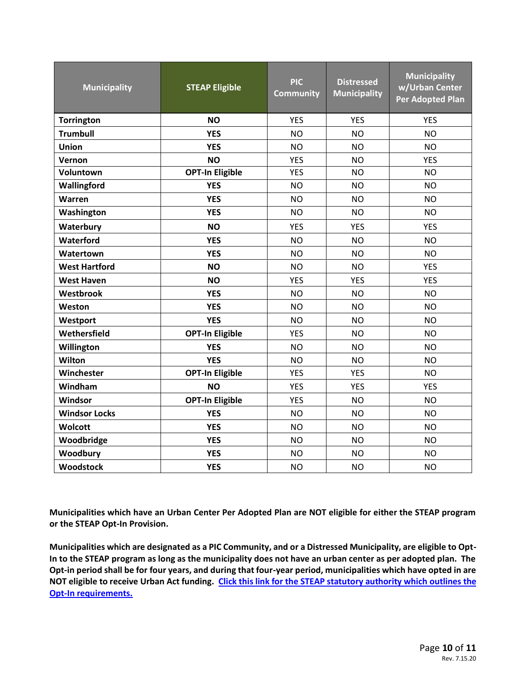| <b>Municipality</b>  | <b>STEAP Eligible</b>  | <b>PIC</b><br><b>Community</b> | <b>Distressed</b><br><b>Municipality</b> | <b>Municipality</b><br>w/Urban Center<br>Per Adopted Plan |
|----------------------|------------------------|--------------------------------|------------------------------------------|-----------------------------------------------------------|
| <b>Torrington</b>    | <b>NO</b>              | <b>YES</b>                     | <b>YES</b>                               | <b>YES</b>                                                |
| <b>Trumbull</b>      | <b>YES</b>             | <b>NO</b>                      | <b>NO</b>                                | <b>NO</b>                                                 |
| <b>Union</b>         | <b>YES</b>             | <b>NO</b>                      | <b>NO</b>                                | <b>NO</b>                                                 |
| Vernon               | <b>NO</b>              | <b>YES</b>                     | <b>NO</b>                                | <b>YES</b>                                                |
| Voluntown            | <b>OPT-In Eligible</b> | <b>YES</b>                     | <b>NO</b>                                | <b>NO</b>                                                 |
| Wallingford          | <b>YES</b>             | <b>NO</b>                      | <b>NO</b>                                | <b>NO</b>                                                 |
| Warren               | <b>YES</b>             | <b>NO</b>                      | <b>NO</b>                                | <b>NO</b>                                                 |
| Washington           | <b>YES</b>             | <b>NO</b>                      | <b>NO</b>                                | <b>NO</b>                                                 |
| Waterbury            | <b>NO</b>              | <b>YES</b>                     | <b>YES</b>                               | <b>YES</b>                                                |
| Waterford            | <b>YES</b>             | <b>NO</b>                      | <b>NO</b>                                | <b>NO</b>                                                 |
| Watertown            | <b>YES</b>             | <b>NO</b>                      | <b>NO</b>                                | <b>NO</b>                                                 |
| <b>West Hartford</b> | <b>NO</b>              | <b>NO</b>                      | <b>NO</b>                                | <b>YES</b>                                                |
| <b>West Haven</b>    | <b>NO</b>              | <b>YES</b>                     | <b>YES</b>                               | <b>YES</b>                                                |
| Westbrook            | <b>YES</b>             | <b>NO</b>                      | <b>NO</b>                                | <b>NO</b>                                                 |
| Weston               | <b>YES</b>             | <b>NO</b>                      | <b>NO</b>                                | <b>NO</b>                                                 |
| Westport             | <b>YES</b>             | <b>NO</b>                      | <b>NO</b>                                | <b>NO</b>                                                 |
| Wethersfield         | <b>OPT-In Eligible</b> | <b>YES</b>                     | <b>NO</b>                                | <b>NO</b>                                                 |
| Willington           | <b>YES</b>             | <b>NO</b>                      | <b>NO</b>                                | <b>NO</b>                                                 |
| Wilton               | <b>YES</b>             | <b>NO</b>                      | <b>NO</b>                                | <b>NO</b>                                                 |
| Winchester           | <b>OPT-In Eligible</b> | <b>YES</b>                     | <b>YES</b>                               | <b>NO</b>                                                 |
| Windham              | <b>NO</b>              | <b>YES</b>                     | <b>YES</b>                               | <b>YES</b>                                                |
| Windsor              | <b>OPT-In Eligible</b> | <b>YES</b>                     | <b>NO</b>                                | <b>NO</b>                                                 |
| <b>Windsor Locks</b> | <b>YES</b>             | <b>NO</b>                      | <b>NO</b>                                | <b>NO</b>                                                 |
| Wolcott              | <b>YES</b>             | <b>NO</b>                      | <b>NO</b>                                | <b>NO</b>                                                 |
| Woodbridge           | <b>YES</b>             | <b>NO</b>                      | <b>NO</b>                                | <b>NO</b>                                                 |
| Woodbury             | <b>YES</b>             | <b>NO</b>                      | <b>NO</b>                                | <b>NO</b>                                                 |
| Woodstock            | <b>YES</b>             | <b>NO</b>                      | <b>NO</b>                                | <b>NO</b>                                                 |

**Municipalities which have an Urban Center Per Adopted Plan are NOT eligible for either the STEAP program or the STEAP Opt-In Provision.**

**Municipalities which are designated as a PIC Community, and or a Distressed Municipality, are eligible to Opt-In to the STEAP program as long as the municipality does not have an urban center as per adopted plan. The Opt-in period shall be for four years, and during that four-year period, municipalities which have opted in are NOT eligible to receive Urban Act funding. [Click this link for the STEAP statutory authority which outlines the](https://www.cga.ct.gov/current/pub/chap_050.htm#sec_4-66g) [Opt-In requirements.](https://www.cga.ct.gov/current/pub/chap_050.htm#sec_4-66g)**